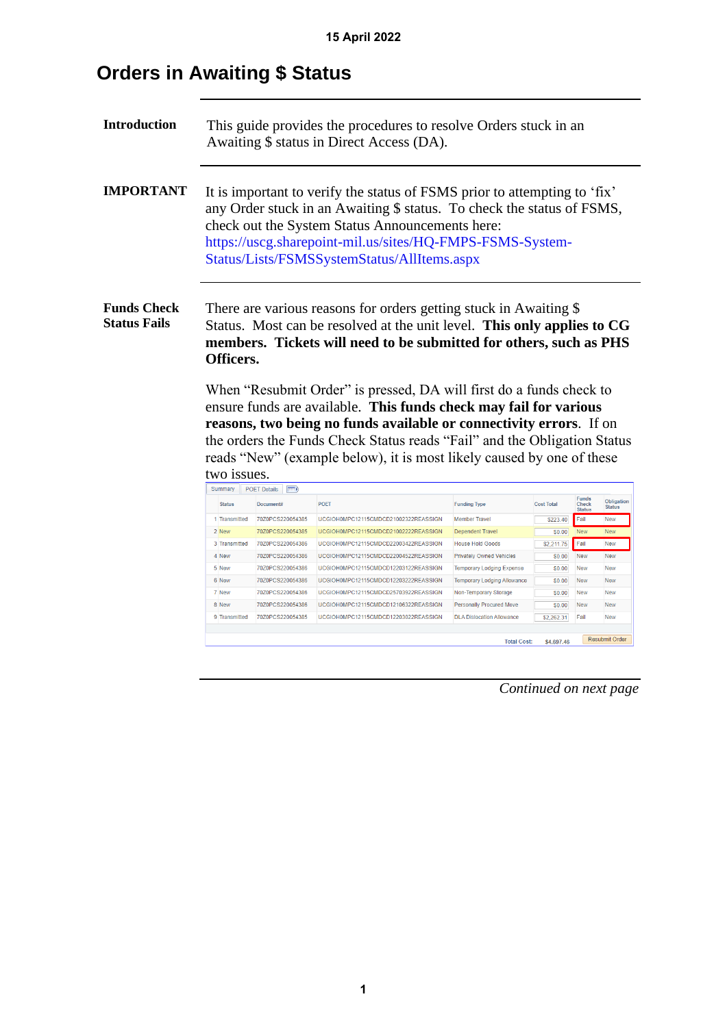# **Orders in Awaiting \$ Status**

| <b>Introduction</b>                       |               |                                    | This guide provides the procedures to resolve Orders stuck in an<br>Awaiting \$ status in Direct Access (DA).                                                                                                                                                                                                                                                                                                                                                                                                                                                                              |                                    |                   |                                        |                             |
|-------------------------------------------|---------------|------------------------------------|--------------------------------------------------------------------------------------------------------------------------------------------------------------------------------------------------------------------------------------------------------------------------------------------------------------------------------------------------------------------------------------------------------------------------------------------------------------------------------------------------------------------------------------------------------------------------------------------|------------------------------------|-------------------|----------------------------------------|-----------------------------|
| <b>IMPORTANT</b>                          |               |                                    | It is important to verify the status of FSMS prior to attempting to 'fix'<br>any Order stuck in an Awaiting \$ status. To check the status of FSMS,<br>check out the System Status Announcements here:<br>https://uscg.sharepoint-mil.us/sites/HQ-FMPS-FSMS-System-<br>Status/Lists/FSMSSystemStatus/AllItems.aspx                                                                                                                                                                                                                                                                         |                                    |                   |                                        |                             |
| <b>Funds Check</b><br><b>Status Fails</b> | Officers.     |                                    | There are various reasons for orders getting stuck in Awaiting \$<br>Status. Most can be resolved at the unit level. This only applies to CG<br>members. Tickets will need to be submitted for others, such as PHS<br>When "Resubmit Order" is pressed, DA will first do a funds check to<br>ensure funds are available. This funds check may fail for various<br>reasons, two being no funds available or connectivity errors. If on<br>the orders the Funds Check Status reads "Fail" and the Obligation Status<br>reads "New" (example below), it is most likely caused by one of these |                                    |                   |                                        |                             |
|                                           | two issues.   |                                    |                                                                                                                                                                                                                                                                                                                                                                                                                                                                                                                                                                                            |                                    |                   |                                        |                             |
|                                           | Summary       | <b>POET Details</b><br>$\boxed{=}$ |                                                                                                                                                                                                                                                                                                                                                                                                                                                                                                                                                                                            |                                    |                   |                                        |                             |
|                                           | <b>Status</b> | Document#                          | <b>POET</b>                                                                                                                                                                                                                                                                                                                                                                                                                                                                                                                                                                                | <b>Funding Type</b>                | <b>Cost Total</b> | <b>Funds</b><br>Check<br><b>Status</b> | Obligation<br><b>Status</b> |
|                                           | 1 Transmitted | 70Z0PCS220054385                   | UCGIOH0MPC12115CMDCD21002322REASSIGN                                                                                                                                                                                                                                                                                                                                                                                                                                                                                                                                                       | <b>Member Travel</b>               | \$223.40          | Fail                                   | New                         |
|                                           | 2 New         | 70Z0PCS220054385                   | UCGIOH0MPC12115CMDCD21002222REASSIGN                                                                                                                                                                                                                                                                                                                                                                                                                                                                                                                                                       | <b>Dependent Travel</b>            | \$0.00            | New                                    | New                         |
|                                           | 3 Transmitted | 70Z0PCS220054386                   | UCGIOH0MPC12115CMDCD22003422REASSIGN                                                                                                                                                                                                                                                                                                                                                                                                                                                                                                                                                       | <b>House Hold Goods</b>            | \$2,211.75        | Fail                                   | New                         |
|                                           | 4 New         | 70Z0PCS220054386                   | UCGIOH0MPC12115CMDCD22004522REASSIGN                                                                                                                                                                                                                                                                                                                                                                                                                                                                                                                                                       | <b>Privately Owned Vehicles</b>    | \$0.00            | <b>New</b>                             | New                         |
|                                           | 5 New         | 70Z0PCS220054386                   | UCGIOH0MPC12115CMDCD12203122REASSIGN                                                                                                                                                                                                                                                                                                                                                                                                                                                                                                                                                       | <b>Temporary Lodging Expense</b>   | \$0.00            | <b>New</b>                             | <b>New</b>                  |
|                                           | 6 New         | 70Z0PCS220054386                   | UCGIOH0MPC12115CMDCD12203222REASSIGN                                                                                                                                                                                                                                                                                                                                                                                                                                                                                                                                                       | <b>Temporary Lodging Allowance</b> | \$0.00            | New                                    | New                         |
|                                           | 7 New         | 70Z0PCS220054386                   | UCGIOH0MPC12115CMDCD25703922REASSIGN                                                                                                                                                                                                                                                                                                                                                                                                                                                                                                                                                       | Non-Temporary Storage              | \$0.00            | <b>New</b>                             | New                         |
|                                           | 8 New         | 70Z0PCS220054386                   | UCGIOH0MPC12115CMDCD12106322REASSIGN                                                                                                                                                                                                                                                                                                                                                                                                                                                                                                                                                       | <b>Personally Procured Move</b>    | \$0.00            | <b>New</b>                             | New                         |
|                                           | 9 Transmitted | 70Z0PCS220054385                   | UCGIOH0MPC12115CMDCD12203022REASSIGN                                                                                                                                                                                                                                                                                                                                                                                                                                                                                                                                                       | <b>DLA Dislocation Allowance</b>   | \$2,262.31        | Fail                                   | New                         |
|                                           |               |                                    |                                                                                                                                                                                                                                                                                                                                                                                                                                                                                                                                                                                            | <b>Total Cost:</b>                 | \$4,697.46        |                                        | <b>Resubmit Order</b>       |

*Continued on next page*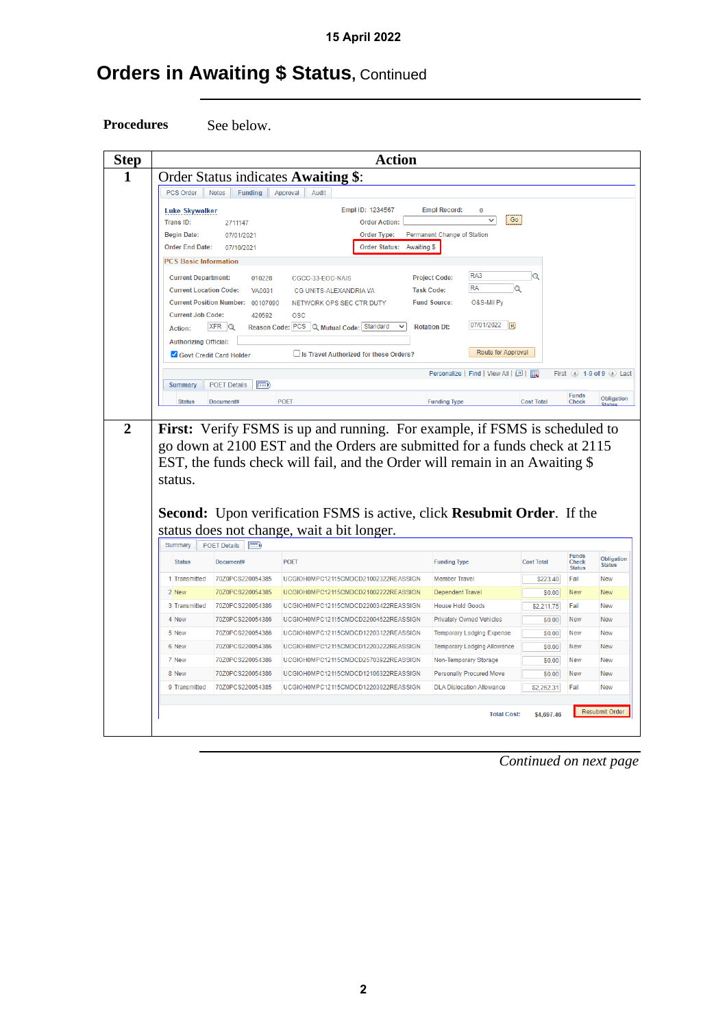# **Orders in Awaiting \$ Status, Continued**

**Procedures** See below.

|                                                             |                                                 | <b>Action</b>                                                                                                                                                                                                                                          |                                                             |                   |                                        |                           |
|-------------------------------------------------------------|-------------------------------------------------|--------------------------------------------------------------------------------------------------------------------------------------------------------------------------------------------------------------------------------------------------------|-------------------------------------------------------------|-------------------|----------------------------------------|---------------------------|
| PCS Order                                                   | Notes<br>Funding                                | Order Status indicates Awaiting \$:<br>Audit                                                                                                                                                                                                           |                                                             |                   |                                        |                           |
|                                                             |                                                 | Approval                                                                                                                                                                                                                                               |                                                             |                   |                                        |                           |
| <b>Luke Skywalker</b>                                       |                                                 | Empl ID: 1234567                                                                                                                                                                                                                                       | <b>Empl Record:</b><br>0<br>Go<br>$\checkmark$              |                   |                                        |                           |
| <b>Trans ID:</b><br><b>Begin Date:</b>                      | 2711147<br>07/01/2021                           | <b>Order Action:</b><br><b>Order Type:</b>                                                                                                                                                                                                             | Permanent Change of Station                                 |                   |                                        |                           |
| <b>Order End Date:</b>                                      | 07/10/2021                                      | <b>Order Status:</b><br>Awaiting \$                                                                                                                                                                                                                    |                                                             |                   |                                        |                           |
| <b>PCS Basic Information</b>                                |                                                 |                                                                                                                                                                                                                                                        |                                                             |                   |                                        |                           |
|                                                             |                                                 |                                                                                                                                                                                                                                                        | RA3                                                         | Q                 |                                        |                           |
| <b>Current Department:</b><br><b>Current Location Code:</b> | 010228<br><b>VA0031</b>                         | CGCC-33-EOC-NAIS<br>CG UNITS-ALEXANDRIA VA                                                                                                                                                                                                             | <b>Project Code:</b><br><b>RA</b><br>Q<br><b>Task Code:</b> |                   |                                        |                           |
| <b>Current Position Number:</b>                             | 00107090                                        | NETWORK OPS SEC CTR DUTY                                                                                                                                                                                                                               | O&S-Mil Py<br><b>Fund Source:</b>                           |                   |                                        |                           |
| <b>Current Job Code:</b>                                    | 420592                                          | <b>OSC</b>                                                                                                                                                                                                                                             |                                                             |                   |                                        |                           |
| <b>Action:</b>                                              | $XFR$ $Q$                                       | Reason Code: PCS Q Mutual Code: Standard                                                                                                                                                                                                               | 07/01/2022<br>BU<br><b>Rotation Dt:</b>                     |                   |                                        |                           |
| <b>Authorizing Official:</b>                                |                                                 |                                                                                                                                                                                                                                                        |                                                             |                   |                                        |                           |
|                                                             | Govt Credit Card Holder                         | Is Travel Authorized for these Orders?                                                                                                                                                                                                                 | Route for Approval                                          |                   |                                        |                           |
|                                                             |                                                 |                                                                                                                                                                                                                                                        | Personalize   Find   View All   2                           | First             |                                        | $(4)$ 1-9 of 9 $(k)$ Last |
|                                                             |                                                 |                                                                                                                                                                                                                                                        |                                                             |                   |                                        |                           |
| <b>Summary</b>                                              | <b>POET Details</b><br>F                        |                                                                                                                                                                                                                                                        |                                                             |                   |                                        |                           |
| <b>Status</b>                                               | Document#                                       | <b>POET</b><br>First: Verify FSMS is up and running. For example, if FSMS is scheduled to<br>go down at 2100 EST and the Orders are submitted for a funds check at 2115<br>EST, the funds check will fail, and the Order will remain in an Awaiting \$ | <b>Funding Type</b>                                         | <b>Cost Total</b> | <b>Funds</b><br>Check                  |                           |
| status.                                                     |                                                 | Second: Upon verification FSMS is active, click Resubmit Order. If the                                                                                                                                                                                 |                                                             |                   |                                        | Obligation                |
|                                                             |                                                 | status does not change, wait a bit longer.                                                                                                                                                                                                             |                                                             |                   |                                        |                           |
| Summary<br><b>Status</b>                                    | <b>POET Details</b><br><b>FEED</b><br>Document# | <b>POFT</b>                                                                                                                                                                                                                                            | <b>Funding Type</b>                                         | <b>Cost Total</b> | <b>Funds</b><br>Check<br><b>Status</b> | <b>Status</b>             |
| 1 Transmitted                                               | 70Z0PCS220054385                                | UCGIOH0MPC12115CMDCD21002322REASSIGN                                                                                                                                                                                                                   | <b>Member Travel</b>                                        | \$223.40          | Fail                                   | New                       |
| 2 New                                                       | 70Z0PCS220054385                                | UCGIOH0MPC12115CMDCD21002222REASSIGN                                                                                                                                                                                                                   | <b>Dependent Travel</b>                                     | \$0.00            | New                                    | New                       |
| 3 Transmitted                                               | 70Z0PCS220054386                                | UCGIOH0MPC12115CMDCD22003422REASSIGN                                                                                                                                                                                                                   | <b>House Hold Goods</b>                                     | \$2,211.75        | Fail                                   | <b>New</b>                |
| 4 New                                                       | 70Z0PCS220054386                                | UCGIOH0MPC12115CMDCD22004522REASSIGN                                                                                                                                                                                                                   | <b>Privately Owned Vehicles</b>                             | \$0.00            | New                                    | New                       |
| 5 New                                                       | 70Z0PCS220054386                                | UCGIOH0MPC12115CMDCD12203122REASSIGN                                                                                                                                                                                                                   | <b>Temporary Lodging Expense</b>                            | \$0.00            | New                                    | <b>New</b>                |
| 6 New                                                       | 70Z0PCS220054386                                | UCGIOH0MPC12115CMDCD12203222REASSIGN                                                                                                                                                                                                                   | <b>Temporary Lodging Allowance</b>                          | \$0.00            | <b>New</b>                             | Obligation<br>New         |
| 7 New                                                       | 70Z0PCS220054386                                | UCGIOH0MPC12115CMDCD25703922REASSIGN                                                                                                                                                                                                                   | Non-Temporary Storage                                       | \$0.00            | New                                    | New                       |
| 8 New                                                       | 70Z0PCS220054386                                | UCGIOH0MPC12115CMDCD12106322REASSIGN                                                                                                                                                                                                                   | <b>Personally Procured Move</b>                             | \$0.00            | <b>New</b>                             | <b>New</b>                |

*Continued on next page*